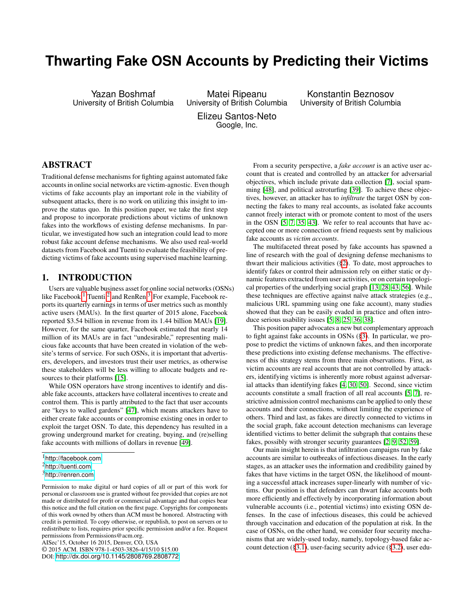# **Thwarting Fake OSN Accounts by Predicting their Victims**

Yazan Boshmaf University of British Columbia

Matei Ripeanu University of British Columbia

Konstantin Beznosov University of British Columbia

Elizeu Santos-Neto Google, Inc.

# ABSTRACT

Traditional defense mechanisms for fighting against automated fake accounts in online social networks are victim-agnostic. Even though victims of fake accounts play an important role in the viability of subsequent attacks, there is no work on utilizing this insight to improve the status quo. In this position paper, we take the first step and propose to incorporate predictions about victims of unknown fakes into the workflows of existing defense mechanisms. In particular, we investigated how such an integration could lead to more robust fake account defense mechanisms. We also used real-world datasets from Facebook and Tuenti to evaluate the feasibility of predicting victims of fake accounts using supervised machine learning.

# 1. INTRODUCTION

Users are valuable business asset for online social networks (OSNs) like Facebook,<sup>[1](#page-0-0)</sup> Tuenti,<sup>[2](#page-0-1)</sup> and RenRen.<sup>[3](#page-0-2)</sup> For example, Facebook reports its quarterly earnings in terms of user metrics such as monthly active users (MAUs). In the first quarter of 2015 alone, Facebook reported \$3.54 billion in revenue from its 1.44 billion MAUs [\[19\]](#page-7-0). However, for the same quarter, Facebook estimated that nearly 14 million of its MAUs are in fact "undesirable," representing malicious fake accounts that have been created in violation of the website's terms of service. For such OSNs, it is important that advertisers, developers, and investors trust their user metrics, as otherwise these stakeholders will be less willing to allocate budgets and resources to their platforms [\[15\]](#page-7-1).

While OSN operators have strong incentives to identify and disable fake accounts, attackers have collateral incentives to create and control them. This is partly attributed to the fact that user accounts are "keys to walled gardens" [\[47\]](#page-8-0), which means attackers have to either create fake accounts or compromise existing ones in order to exploit the target OSN. To date, this dependency has resulted in a growing underground market for creating, buying, and (re)selling fake accounts with millions of dollars in revenue [\[49\]](#page-8-1).

AISec'15, October 16 2015, Denver, CO, USA

© 2015 ACM. ISBN 978-1-4503-3826-4/15/10 \$15.00

DOI: <http://dx.doi.org/10.1145/2808769.2808772>.

From a security perspective, a *fake account* is an active user account that is created and controlled by an attacker for adversarial objectives, which include private data collection [\[7\]](#page-6-0), social spamming [\[48\]](#page-8-2), and political astroturfing [\[39\]](#page-7-2). To achieve these objectives, however, an attacker has to *infiltrate* the target OSN by connecting the fakes to many real accounts, as isolated fake accounts cannot freely interact with or promote content to most of the users in the OSN [\[5,](#page-6-1) [7,](#page-6-0) [35,](#page-7-3) [43\]](#page-8-3). We refer to real accounts that have accepted one or more connection or friend requests sent by malicious fake accounts as *victim accounts*.

The multifaceted threat posed by fake accounts has spawned a line of research with the goal of designing defense mechanisms to thwart their malicious activities ([§2\)](#page-1-0). To date, most approaches to identify fakes or control their admission rely on either static or dynamic features extracted from user activities, or on certain topological properties of the underlying social graph [\[13,](#page-7-4) [28,](#page-7-5) [43,](#page-8-3) [56\]](#page-8-4). While these techniques are effective against naïve attack strategies (e.g., malicious URL spamming using one fake account), many studies showed that they can be easily evaded in practice and often introduce serious usability issues [\[5,](#page-6-1) [8,](#page-6-2) [25,](#page-7-6) [36,](#page-7-7) [38\]](#page-7-8).

This position paper advocates a new but complementary approach to fight against fake accounts in OSNs ([§3\)](#page-3-0). In particular, we propose to predict the victims of unknown fakes, and then incorporate these predictions into existing defense mechanisms. The effectiveness of this strategy stems from three main observations. First, as victim accounts are real accounts that are not controlled by attackers, identifying victims is inherently more robust against adversarial attacks than identifying fakes [\[4,](#page-6-3) [30,](#page-7-9) [50\]](#page-8-5). Second, since victim accounts constitute a small fraction of all real accounts [\[5,](#page-6-1) [7\]](#page-6-0), restrictive admission control mechanisms can be applied to only these accounts and their connections, without limiting the experience of others. Third and last, as fakes are directly connected to victims in the social graph, fake account detection mechanisms can leverage identified victims to better delimit the subgraph that contains these fakes, possibly with stronger security guarantees [\[2,](#page-6-4) [9,](#page-6-5) [52,](#page-8-6) [59\]](#page-8-7).

Our main insight herein is that infiltration campaigns run by fake accounts are similar to outbreaks of infectious diseases. In the early stages, as an attacker uses the information and credibility gained by fakes that have victims in the target OSN, the likelihood of mounting a successful attack increases super-linearly with number of victims. Our position is that defenders can thwart fake accounts both more efficiently and effectively by incorporating information about vulnerable accounts (i.e., potential victims) into existing OSN defenses. In the case of infectious diseases, this could be achieved through vaccination and education of the population at risk. In the case of OSNs, on the other hand, we consider four security mechanisms that are widely-used today, namely, topology-based fake account detection ([§3.1\)](#page-3-1), user-facing security advice ([§3.2\)](#page-3-2), user edu-

<span id="page-0-0"></span><sup>1</sup><http://facebook.com>

<span id="page-0-1"></span><sup>2</sup><http://tuenti.com>

<span id="page-0-2"></span><sup>3</sup><http://renren.com>

Permission to make digital or hard copies of all or part of this work for personal or classroom use is granted without fee provided that copies are not made or distributed for profit or commercial advantage and that copies bear this notice and the full citation on the first page. Copyrights for components of this work owned by others than ACM must be honored. Abstracting with credit is permitted. To copy otherwise, or republish, to post on servers or to redistribute to lists, requires prior specific permission and/or a fee. Request permissions from Permissions@acm.org.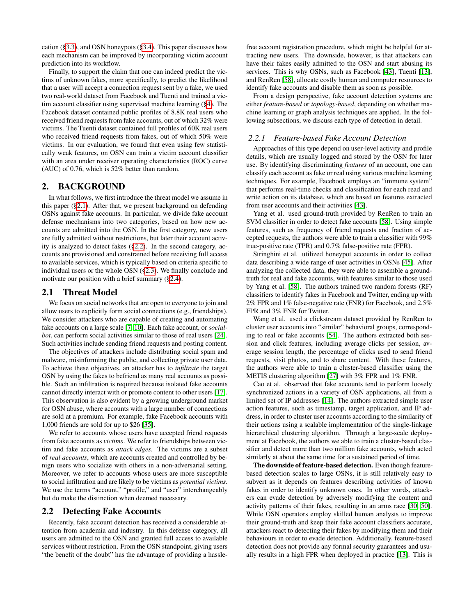cation ([§3.3\)](#page-3-3), and OSN honeypots ([§3.4\)](#page-3-4). This paper discusses how each mechanism can be improved by incorporating victim account prediction into its workflow.

Finally, to support the claim that one can indeed predict the victims of unknown fakes, more specifically, to predict the likelihood that a user will accept a connection request sent by a fake, we used two real-world dataset from Facebook and Tuenti and trained a victim account classifier using supervised machine learning ([§4\)](#page-4-0). The Facebook dataset contained public profiles of 8.8K real users who received friend requests from fake accounts, out of which 32% were victims. The Tuenti dataset contained full profiles of 60K real users who received friend requests from fakes, out of which 50% were victims. In our evaluation, we found that even using few statistically weak features, on OSN can train a victim account classifier with an area under receiver operating characteristics (ROC) curve (AUC) of 0.76, which is 52% better than random.

#### <span id="page-1-0"></span>2. BACKGROUND

In what follows, we first introduce the threat model we assume in this paper ([§2.1\)](#page-1-1). After that, we present background on defending OSNs against fake accounts. In particular, we divide fake account defense mechanisms into two categories, based on how new accounts are admitted into the OSN. In the first category, new users are fully admitted without restrictions, but later their account activity is analyzed to detect fakes ([§2.2\)](#page-1-2). In the second category, accounts are provisioned and constrained before receiving full access to available services, which is typically based on criteria specific to individual users or the whole OSN ([§2.3\)](#page-2-0). We finally conclude and motivate our position with a brief summary ([§2.4\)](#page-3-5).

#### <span id="page-1-1"></span>2.1 Threat Model

We focus on social networks that are open to everyone to join and allow users to explicitly form social connections (e.g., friendships). We consider attackers who are capable of creating and automating fake accounts on a large scale [\[7,](#page-6-0) [10\]](#page-6-6). Each fake account, or *socialbot*, can perform social activities similar to those of real users [\[24\]](#page-7-10). Such activities include sending friend requests and posting content.

The objectives of attackers include distributing social spam and malware, misinforming the public, and collecting private user data. To achieve these objectives, an attacker has to *infiltrate* the target OSN by using the fakes to befriend as many real accounts as possible. Such an infiltration is required because isolated fake accounts cannot directly interact with or promote content to other users [\[17\]](#page-7-11). This observation is also evident by a growing underground market for OSN abuse, where accounts with a large number of connections are sold at a premium. For example, fake Facebook accounts with 1,000 friends are sold for up to \$26 [\[35\]](#page-7-3).

We refer to accounts whose users have accepted friend requests from fake accounts as *victims*. We refer to friendships between victim and fake accounts as *attack edges*. The victims are a subset of *real accounts*, which are accounts created and controlled by benign users who socialize with others in a non-adversarial setting. Moreover, we refer to accounts whose users are more susceptible to social infiltration and are likely to be victims as *potential victims*. We use the terms "account," "profile," and "user" interchangeably but do make the distinction when deemed necessary.

## <span id="page-1-2"></span>2.2 Detecting Fake Accounts

Recently, fake account detection has received a considerable attention from academia and industry. In this defense category, all users are admitted to the OSN and granted full access to available services without restriction. From the OSN standpoint, giving users "the benefit of the doubt" has the advantage of providing a hasslefree account registration procedure, which might be helpful for attracting new users. The downside, however, is that attackers can have their fakes easily admitted to the OSN and start abusing its services. This is why OSNs, such as Facebook [\[43\]](#page-8-3), Tuenti [\[13\]](#page-7-4), and RenRen [\[58\]](#page-8-8), allocate costly human and computer resources to identify fake accounts and disable them as soon as possible.

From a design perspective, fake account detection systems are either *feature-based* or *topology-based*, depending on whether machine learning or graph analysis techniques are applied. In the following subsections, we discuss each type of detection in detail.

## *2.2.1 Feature-based Fake Account Detection*

Approaches of this type depend on user-level activity and profile details, which are usually logged and stored by the OSN for later use. By identifying discriminating *features* of an account, one can classify each account as fake or real using various machine learning techniques. For example, Facebook employs an "immune system" that performs real-time checks and classification for each read and write action on its database, which are based on features extracted from user accounts and their activities [\[43\]](#page-8-3).

Yang et al. used ground-truth provided by RenRen to train an SVM classifier in order to detect fake accounts [\[58\]](#page-8-8). Using simple features, such as frequency of friend requests and fraction of accepted requests, the authors were able to train a classifier with 99% true-positive rate (TPR) and 0.7% false-positive rate (FPR).

Stringhini et al. utilized honeypot accounts in order to collect data describing a wide range of user activities in OSNs [\[45\]](#page-8-9). After analyzing the collected data, they were able to assemble a groundtruth for real and fake accounts, with features similar to those used by Yang et al. [\[58\]](#page-8-8). The authors trained two random forests (RF) classifiers to identify fakes in Facebook and Twitter, ending up with 2% FPR and 1% false-negative rate (FNR) for Facebook, and 2.5% FPR and 3% FNR for Twitter.

Wang et al. used a clickstream dataset provided by RenRen to cluster user accounts into "similar" behavioral groups, corresponding to real or fake accounts [\[54\]](#page-8-10). The authors extracted both session and click features, including average clicks per session, average session length, the percentage of clicks used to send friend requests, visit photos, and to share content. With these features, the authors were able to train a cluster-based classifier using the METIS clustering algorithm [\[27\]](#page-7-12) with 3% FPR and 1% FNR.

Cao et al. observed that fake accounts tend to perform loosely synchronized actions in a variety of OSN applications, all from a limited set of IP addresses [\[14\]](#page-7-13). The authors extracted simple user action features, such as timestamp, target application, and IP address, in order to cluster user accounts according to the similarity of their actions using a scalable implementation of the single-linkage hierarchical clustering algorithm. Through a large-scale deployment at Facebook, the authors we able to train a cluster-based classifier and detect more than two million fake accounts, which acted similarly at about the same time for a sustained period of time.

The downside of feature-based detection. Even though featurebased detection scales to large OSNs, it is still relatively easy to subvert as it depends on features describing activities of known fakes in order to identify unknown ones. In other words, attackers can evade detection by adversely modifying the content and activity patterns of their fakes, resulting in an arms race [\[30,](#page-7-9) [50\]](#page-8-5). While OSN operators employ skilled human analysts to improve their ground-truth and keep their fake account classifiers accurate, attackers react to detecting their fakes by modifying them and their behaviours in order to evade detection. Additionally, feature-based detection does not provide any formal security guarantees and usually results in a high FPR when deployed in practice [\[13\]](#page-7-4). This is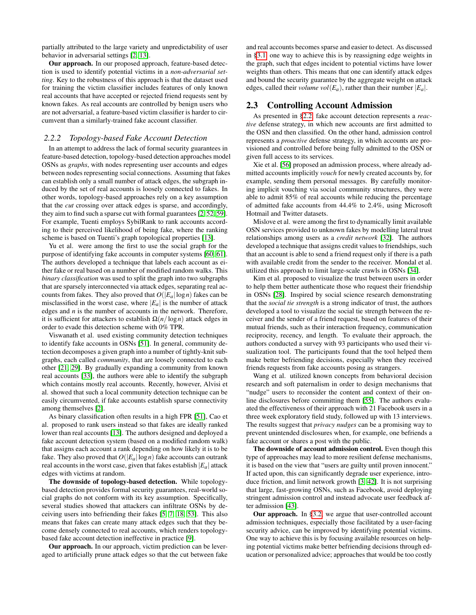partially attributed to the large variety and unpredictability of user behavior in adversarial settings [\[2,](#page-6-4) [13\]](#page-7-4).

Our approach. In our proposed approach, feature-based detection is used to identify potential victims in a *non-adversarial setting*. Key to the robustness of this approach is that the dataset used for training the victim classifier includes features of only known real accounts that have accepted or rejected friend requests sent by known fakes. As real accounts are controlled by benign users who are not adversarial, a feature-based victim classifier is harder to circumvent than a similarly-trained fake account classifier.

#### *2.2.2 Topology-based Fake Account Detection*

In an attempt to address the lack of formal security guarantees in feature-based detection, topology-based detection approaches model OSNs as *graphs*, with nodes representing user accounts and edges between nodes representing social connections. Assuming that fakes can establish only a small number of attack edges, the subgraph induced by the set of real accounts is loosely connected to fakes. In other words, topology-based approaches rely on a key assumption that the *cut* crossing over attack edges is sparse, and accordingly, they aim to find such a sparse cut with formal guarantees [\[2,](#page-6-4) [52,](#page-8-6) [59\]](#page-8-7). For example, Tuenti employs SybilRank to rank accounts according to their perceived likelihood of being fake, where the ranking scheme is based on Tuenti's graph topological properties [\[13\]](#page-7-4).

Yu et al. were among the first to use the social graph for the purpose of identifying fake accounts in computer systems [\[60,](#page-8-11) [61\]](#page-8-12). The authors developed a technique that labels each account as either fake or real based on a number of modified random walks. This *binary classification* was used to split the graph into two subgraphs that are sparsely interconnected via attack edges, separating real accounts from fakes. They also proved that  $O(|E_a| \log n)$  fakes can be misclassified in the worst case, where  $|E_a|$  is the number of attack edges and *n* is the number of accounts in the network. Therefore, it is sufficient for attackers to establish  $\Omega(n/\log n)$  attack edges in order to evade this detection scheme with 0% TPR.

Viswanath et al. used existing community detection techniques to identify fake accounts in OSNs [\[51\]](#page-8-13). In general, community detection decomposes a given graph into a number of tightly-knit subgraphs, each called *community*, that are loosely connected to each other [\[21,](#page-7-14) [29\]](#page-7-15). By gradually expanding a community from known real accounts [\[33\]](#page-7-16), the authors were able to identify the subgraph which contains mostly real accounts. Recently, however, Alvisi et al. showed that such a local community detection technique can be easily circumvented, if fake accounts establish sparse connectivity among themselves [\[2\]](#page-6-4).

As binary classification often results in a high FPR [\[51\]](#page-8-13), Cao et al. proposed to rank users instead so that fakes are ideally ranked lower than real accounts [\[13\]](#page-7-4). The authors designed and deployed a fake account detection system (based on a modified random walk) that assigns each account a rank depending on how likely it is to be fake. They also proved that  $O(|E_a| \log n)$  fake accounts can outrank real accounts in the worst case, given that fakes establish  $|E_a|$  attack edges with victims at random.

The downside of topology-based detection. While topologybased detection provides formal security guarantees, real-world social graphs do not conform with its key assumption. Specifically, several studies showed that attackers can infiltrate OSNs by deceiving users into befriending their fakes [\[5,](#page-6-1) [7,](#page-6-0) [18,](#page-7-17) [53\]](#page-8-14). This also means that fakes can create many attack edges such that they become densely connected to real accounts, which renders topologybased fake account detection ineffective in practice [\[9\]](#page-6-5).

Our approach. In our approach, victim prediction can be leveraged to artificially prune attack edges so that the cut between fake

and real accounts becomes sparse and easier to detect. As discussed in [§3.1,](#page-3-1) one way to achieve this is by reassigning edge weights in the graph, such that edges incident to potential victims have lower weights than others. This means that one can identify attack edges and bound the security guarantee by the aggregate weight on attack edges, called their *volume vol*( $E_a$ ), rather than their number  $|E_a|$ .

## <span id="page-2-0"></span>2.3 Controlling Account Admission

As presented in [§2.2,](#page-1-2) fake account detection represents a *reactive* defense strategy, in which new accounts are first admitted to the OSN and then classified. On the other hand, admission control represents a *proactive* defense strategy, in which accounts are provisioned and controlled before being fully admitted to the OSN or given full access to its services.

Xie et al. [\[56\]](#page-8-4) proposed an admission process, where already admitted accounts implicitly *vouch* for newly created accounts by, for example, sending them personal messages. By carefully monitoring implicit vouching via social community structures, they were able to admit 85% of real accounts while reducing the percentage of admitted fake accounts from 44.4% to 2.4%, using Microsoft Hotmail and Twitter datasets.

Mislove et al. were among the first to dynamically limit available OSN services provided to unknown fakes by modelling lateral trust relationships among users as a *credit network* [\[32\]](#page-7-18). The authors developed a technique that assigns credit values to friendships, such that an account is able to send a friend request only if there is a path with available credit from the sender to the receiver. Mondal et al. utilized this approach to limit large-scale crawls in OSNs [\[34\]](#page-7-19).

Kim et al. proposed to visualize the trust between users in order to help them better authenticate those who request their friendship in OSNs [\[28\]](#page-7-5). Inspired by social science research demonstrating that the *social tie strength* is a strong indicator of trust, the authors developed a tool to visualize the social tie strength between the receiver and the sender of a friend request, based on features of their mutual friends, such as their interaction frequency, communication reciprocity, recency, and length. To evaluate their approach, the authors conducted a survey with 93 participants who used their visualization tool. The participants found that the tool helped them make better befriending decisions, especially when they received friends requests from fake accounts posing as strangers.

Wang et al. utilized known concepts from behavioral decision research and soft paternalism in order to design mechanisms that "nudge" users to reconsider the content and context of their online disclosures before committing them [\[55\]](#page-8-15). The authors evaluated the effectiveness of their approach with 21 Facebook users in a three week exploratory field study, followed up with 13 interviews. The results suggest that *privacy nudges* can be a promising way to prevent unintended disclosures when, for example, one befriends a fake account or shares a post with the public.

The downside of account admission control. Even though this type of approaches may lead to more resilient defense mechanisms, it is based on the view that "users are guilty until proven innocent." If acted upon, this can significantly degrade user experience, introduce friction, and limit network growth [\[3,](#page-6-7) [42\]](#page-7-20). It is not surprising that large, fast-growing OSNs, such as Facebook, avoid deploying stringent admission control and instead advocate user feedback after admission [\[43\]](#page-8-3).

Our approach. In [§3.2,](#page-3-2) we argue that user-controlled account admission techniques, especially those facilitated by a user-facing security advice, can be improved by identifying potential victims. One way to achieve this is by focusing available resources on helping potential victims make better befriending decisions through education or personalized advice; approaches that would be too costly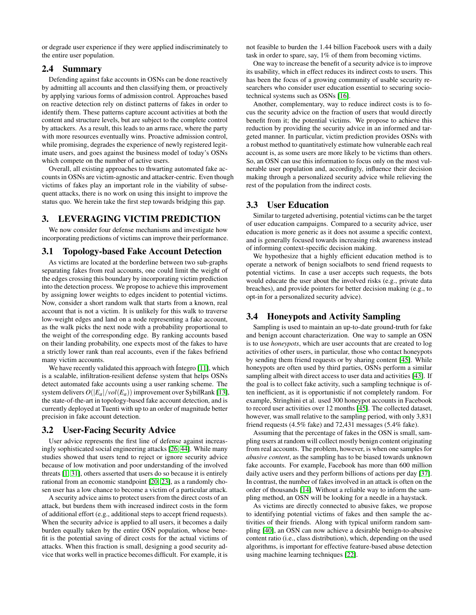or degrade user experience if they were applied indiscriminately to the entire user population.

## <span id="page-3-5"></span>2.4 Summary

Defending against fake accounts in OSNs can be done reactively by admitting all accounts and then classifying them, or proactively by applying various forms of admission control. Approaches based on reactive detection rely on distinct patterns of fakes in order to identify them. These patterns capture account activities at both the content and structure levels, but are subject to the complete control by attackers. As a result, this leads to an arms race, where the party with more resources eventually wins. Proactive admission control, while promising, degrades the experience of newly registered legitimate users, and goes against the business model of today's OSNs which compete on the number of active users.

Overall, all existing approaches to thwarting automated fake accounts in OSNs are victim-agnostic and attacker-centric. Even though victims of fakes play an important role in the viability of subsequent attacks, there is no work on using this insight to improve the status quo. We herein take the first step towards bridging this gap.

## <span id="page-3-0"></span>3. LEVERAGING VICTIM PREDICTION

We now consider four defense mechanisms and investigate how incorporating predictions of victims can improve their performance.

#### <span id="page-3-1"></span>3.1 Topology-based Fake Account Detection

As victims are located at the borderline between two sub-graphs separating fakes from real accounts, one could limit the weight of the edges crossing this boundary by incorporating victim prediction into the detection process. We propose to achieve this improvement by assigning lower weights to edges incident to potential victims. Now, consider a short random walk that starts from a known, real account that is not a victim. It is unlikely for this walk to traverse low-weight edges and land on a node representing a fake account, as the walk picks the next node with a probability proportional to the weight of the corresponding edge. By ranking accounts based on their landing probability, one expects most of the fakes to have a strictly lower rank than real accounts, even if the fakes befriend many victim accounts.

We have recently validated this approach with Íntegro [\[11\]](#page-7-21), which is a scalable, infiltration-resilient defense system that helps OSNs detect automated fake accounts using a user ranking scheme. The system delivers  $O(|E_a|/vol(E_a))$  improvement over SybilRank [\[13\]](#page-7-4), the state-of-the-art in topology-based fake account detection, and is currently deployed at Tuenti with up to an order of magnitude better precision in fake account detection.

## <span id="page-3-2"></span>3.2 User-Facing Security Advice

User advice represents the first line of defense against increasingly sophisticated social engineering attacks [\[26,](#page-7-22) [44\]](#page-8-16). While many studies showed that users tend to reject or ignore security advice because of low motivation and poor understanding of the involved threats [\[1,](#page-6-8) [31\]](#page-7-23), others asserted that users do so because it is entirely rational from an economic standpoint [\[20,](#page-7-24) [23\]](#page-7-25), as a randomly chosen user has a low chance to become a victim of a particular attack.

A security advice aims to protect users from the direct costs of an attack, but burdens them with increased indirect costs in the form of additional effort (e.g., additional steps to accept friend requests). When the security advice is applied to all users, it becomes a daily burden equally taken by the entire OSN population, whose benefit is the potential saving of direct costs for the actual victims of attacks. When this fraction is small, designing a good security advice that works well in practice becomes difficult. For example, it is not feasible to burden the 1.44 billion Facebook users with a daily task in order to spare, say, 1% of them from becoming victims.

One way to increase the benefit of a security advice is to improve its usability, which in effect reduces its indirect costs to users. This has been the focus of a growing community of usable security researchers who consider user education essential to securing sociotechnical systems such as OSNs [\[16\]](#page-7-26).

Another, complementary, way to reduce indirect costs is to focus the security advice on the fraction of users that would directly benefit from it; the potential victims. We propose to achieve this reduction by providing the security advice in an informed and targeted manner. In particular, victim prediction provides OSNs with a robust method to quantitatively estimate how vulnerable each real account is, as some users are more likely to be victims than others. So, an OSN can use this information to focus only on the most vulnerable user population and, accordingly, influence their decision making through a personalized security advice while relieving the rest of the population from the indirect costs.

# <span id="page-3-3"></span>3.3 User Education

Similar to targeted advertising, potential victims can be the target of user education campaigns. Compared to a security advice, user education is more generic as it does not assume a specific context, and is generally focused towards increasing risk awareness instead of informing context-specific decision making.

We hypothesize that a highly efficient education method is to operate a network of benign socialbots to send friend requests to potential victims. In case a user accepts such requests, the bots would educate the user about the involved risks (e.g., private data breaches), and provide pointers for better decision making (e.g., to opt-in for a personalized security advice).

## <span id="page-3-4"></span>3.4 Honeypots and Activity Sampling

Sampling is used to maintain an up-to-date ground-truth for fake and benign account characterization. One way to sample an OSN is to use *honeypots*, which are user accounts that are created to log activities of other users, in particular, those who contact honeypots by sending them friend requests or by sharing content [\[45\]](#page-8-9). While honeypots are often used by third parties, OSNs perform a similar sampling albeit with direct access to user data and activities [\[43\]](#page-8-3). If the goal is to collect fake activity, such a sampling technique is often inefficient, as it is opportunistic if not completely random. For example, Stringhini et al. used 300 honeypot accounts in Facebook to record user activities over 12 months [\[45\]](#page-8-9). The collected dataset, however, was small relative to the sampling period, with only 3,831 friend requests (4.5% fake) and 72,431 messages (5.4% fake).

Assuming that the percentage of fakes in the OSN is small, sampling users at random will collect mostly benign content originating from real accounts. The problem, however, is when one samples for *abusive content*, as the sampling has to be biased towards unknown fake accounts. For example, Facebook has more than 600 million daily active users and they perform billions of actions per day [\[37\]](#page-7-27). In contrast, the number of fakes involved in an attack is often on the order of thousands [\[14\]](#page-7-13). Without a reliable way to inform the sampling method, an OSN will be looking for a needle in a haystack.

As victims are directly connected to abusive fakes, we propose to identifying potential victims of fakes and then sample the activities of their friends. Along with typical uniform random sampling [\[40\]](#page-7-28), an OSN can now achieve a desirable benign-to-abusive content ratio (i.e., class distribution), which, depending on the used algorithms, is important for effective feature-based abuse detection using machine learning techniques [\[22\]](#page-7-29).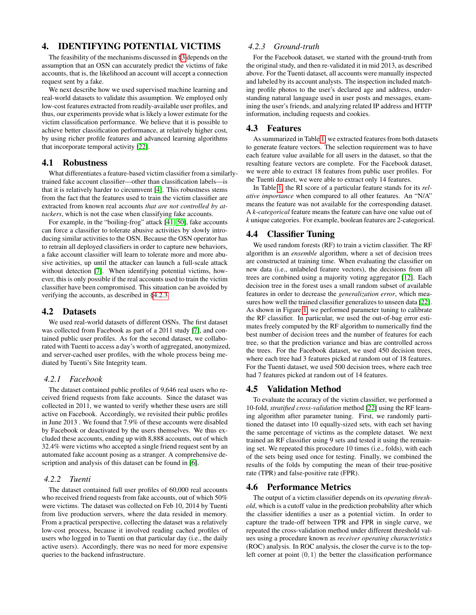# <span id="page-4-0"></span>4. IDENTIFYING POTENTIAL VICTIMS

The feasibility of the mechanisms discussed in [§3](#page-3-0) depends on the assumption that an OSN can accurately predict the victims of fake accounts, that is, the likelihood an account will accept a connection request sent by a fake.

We next describe how we used supervised machine learning and real-world datasets to validate this assumption. We employed only low-cost features extracted from readily-available user profiles, and thus, our experiments provide what is likely a lower estimate for the victim classification performance. We believe that it is possible to achieve better classification performance, at relatively higher cost, by using richer profile features and advanced learning algorithms that incorporate temporal activity [\[22\]](#page-7-29).

#### 4.1 Robustness

What differentiates a feature-based victim classifier from a similarlytrained fake account classifier—other than classification labels—is that it is relatively harder to circumvent [\[4\]](#page-6-3). This robustness stems from the fact that the features used to train the victim classifier are extracted from known real accounts *that are not controlled by attackers*, which is not the case when classifying fake accounts.

For example, in the "boiling-frog" attack [\[41,](#page-7-30) [50\]](#page-8-5), fake accounts can force a classifier to tolerate abusive activities by slowly introducing similar activities to the OSN. Because the OSN operator has to retrain all deployed classifiers in order to capture new behaviors, a fake account classifier will learn to tolerate more and more abusive activities, up until the attacker can launch a full-scale attack without detection [\[7\]](#page-6-0). When identifying potential victims, however, this is only possible if the real accounts used to train the victim classifier have been compromised. This situation can be avoided by verifying the accounts, as described in [§4.2.3.](#page-4-1)

#### 4.2 Datasets

We used real-world datasets of different OSNs. The first dataset was collected from Facebook as part of a 2011 study [\[7\]](#page-6-0), and contained public user profiles. As for the second dataset, we collaborated with Tuenti to access a day's worth of aggregated, anonymized, and server-cached user profiles, with the whole process being mediated by Tuenti's Site Integrity team.

#### *4.2.1 Facebook*

The dataset contained public profiles of 9,646 real users who received friend requests from fake accounts. Since the dataset was collected in 2011, we wanted to verify whether these users are still active on Facebook. Accordingly, we revisited their public profiles in June 2013 . We found that 7.9% of these accounts were disabled by Facebook or deactivated by the users themselves. We thus excluded these accounts, ending up with 8,888 accounts, out of which 32.4% were victims who accepted a single friend request sent by an automated fake account posing as a stranger. A comprehensive description and analysis of this dataset can be found in [\[6\]](#page-6-9).

#### *4.2.2 Tuenti*

The dataset contained full user profiles of 60,000 real accounts who received friend requests from fake accounts, out of which 50% were victims. The dataset was collected on Feb 10, 2014 by Tuenti from live production servers, where the data resided in memory. From a practical perspective, collecting the dataset was a relatively low-cost process, because it involved reading cached profiles of users who logged in to Tuenti on that particular day (i.e., the daily active users). Accordingly, there was no need for more expensive queries to the backend infrastructure.

#### <span id="page-4-1"></span>*4.2.3 Ground-truth*

For the Facebook dataset, we started with the ground-truth from the original study, and then re-validated it in mid 2013, as described above. For the Tuenti dataset, all accounts were manually inspected and labeled by its account analysts. The inspection included matching profile photos to the user's declared age and address, understanding natural language used in user posts and messages, examining the user's friends, and analyzing related IP address and HTTP information, including requests and cookies.

#### 4.3 Features

As summarized in Table [1,](#page-5-0) we extracted features from both datasets to generate feature vectors. The selection requirement was to have each feature value available for all users in the dataset, so that the resulting feature vectors are complete. For the Facebook dataset, we were able to extract 18 features from public user profiles. For the Tuenti dataset, we were able to extract only 14 features.

In Table [1,](#page-5-0) the RI score of a particular feature stands for its *relative importance* when compared to all other features. An "N/A" means the feature was not available for the corresponding dataset. A *k-categorical* feature means the feature can have one value out of *k* unique categories. For example, boolean features are 2-categorical.

## 4.4 Classifier Tuning

We used random forests (RF) to train a victim classifier. The RF algorithm is an *ensemble* algorithm, where a set of decision trees are constructed at training time. When evaluating the classifier on new data (i.e., unlabeled feature vectors), the decisions from all trees are combined using a majority voting aggregator [\[12\]](#page-7-31). Each decision tree in the forest uses a small random subset of available features in order to decrease the *generalization error*, which measures how well the trained classifier generalizes to unseen data [\[22\]](#page-7-29). As shown in Figure [1,](#page-5-1) we performed parameter tuning to calibrate the RF classifier. In particular, we used the out-of-bag error estimates freely computed by the RF algorithm to numerically find the best number of decision trees and the number of features for each tree, so that the prediction variance and bias are controlled across the trees. For the Facebook dataset, we used 450 decision trees, where each tree had 3 features picked at random out of 18 features. For the Tuenti dataset, we used 500 decision trees, where each tree had 7 features picked at random out of 14 features.

#### 4.5 Validation Method

To evaluate the accuracy of the victim classifier, we performed a 10-fold, *stratified cross-validation* method [\[22\]](#page-7-29) using the RF learning algorithm after parameter tuning. First, we randomly partitioned the dataset into 10 equally-sized sets, with each set having the same percentage of victims as the complete dataset. We next trained an RF classifier using 9 sets and tested it using the remaining set. We repeated this procedure 10 times (i.e., folds), with each of the sets being used once for testing. Finally, we combined the results of the folds by computing the mean of their true-positive rate (TPR) and false-positive rate (FPR).

#### 4.6 Performance Metrics

The output of a victim classifier depends on its *operating threshold*, which is a cutoff value in the prediction probability after which the classifier identifies a user as a potential victim. In order to capture the trade-off between TPR and FPR in single curve, we repeated the cross-validation method under different threshold values using a procedure known as *receiver operating characteristics* (ROC) analysis. In ROC analysis, the closer the curve is to the topleft corner at point  $(0,1)$  the better the classification performance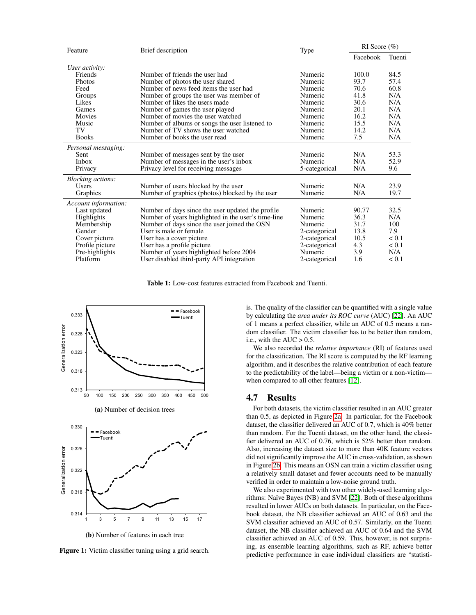<span id="page-5-0"></span>

| Feature                  | Brief description                                   | Type          | RI Score $(\% )$ |        |
|--------------------------|-----------------------------------------------------|---------------|------------------|--------|
|                          |                                                     |               | Facebook         | Tuenti |
| User activity:           |                                                     |               |                  |        |
| Friends                  | Number of friends the user had                      | Numeric       | 100.0            | 84.5   |
| <b>Photos</b>            | Number of photos the user shared                    | Numeric       | 93.7             | 57.4   |
| Feed                     | Number of news feed items the user had              | Numeric       | 70.6             | 60.8   |
| Groups                   | Number of groups the user was member of             | Numeric       | 41.8             | N/A    |
| Likes                    | Number of likes the users made                      | Numeric       | 30.6             | N/A    |
| Games                    | Number of games the user played                     | Numeric       | 20.1             | N/A    |
| Movies                   | Number of movies the user watched                   | Numeric       | 16.2             | N/A    |
| Music                    | Number of albums or songs the user listened to      | Numeric       | 15.5             | N/A    |
| TV                       | Number of TV shows the user watched                 | Numeric       | 14.2             | N/A    |
| <b>Books</b>             | Number of books the user read                       | Numeric       | 7.5              | N/A    |
| Personal messaging:      |                                                     |               |                  |        |
| <b>Sent</b>              | Number of messages sent by the user                 | Numeric       | N/A              | 53.3   |
| <b>Inbox</b>             | Number of messages in the user's inbox              | Numeric       | N/A              | 52.9   |
| Privacy                  | Privacy level for receiving messages                | 5-categorical | N/A              | 9.6    |
| <i>Blocking actions:</i> |                                                     |               |                  |        |
| <b>Users</b>             | Number of users blocked by the user                 | Numeric       | N/A              | 23.9   |
| Graphics                 | Number of graphics (photos) blocked by the user     | Numeric       | N/A              | 19.7   |
| Account information:     |                                                     |               |                  |        |
| Last updated             | Number of days since the user updated the profile   | Numeric       | 90.77            | 32.5   |
| Highlights               | Number of years highlighted in the user's time-line | Numeric       | 36.3             | N/A    |
| Membership               | Number of days since the user joined the OSN        | Numeric       | 31.7             | 100    |
| Gender                   | User is male or female                              | 2-categorical | 13.8             | 7.9    |
| Cover picture            | User has a cover picture                            | 2-categorical | 10.5             | < 0.1  |
| Profile picture          | User has a profile picture                          | 2-categorical | 4.3              | < 0.1  |
| Pre-highlights           | Number of years highlighted before 2004             | Numeric       | 3.9              | N/A    |
| Platform                 | User disabled third-party API integration           | 2-categorical | 1.6              | < 0.1  |

Table 1: Low-cost features extracted from Facebook and Tuenti.

<span id="page-5-1"></span>

(b) Number of features in each tree

Figure 1: Victim classifier tuning using a grid search.

is. The quality of the classifier can be quantified with a single value by calculating the *area under its ROC curve* (AUC) [\[22\]](#page-7-29). An AUC of 1 means a perfect classifier, while an AUC of 0.5 means a random classifier. The victim classifier has to be better than random, i.e., with the  $AUC > 0.5$ .

We also recorded the *relative importance* (RI) of features used for the classification. The RI score is computed by the RF learning algorithm, and it describes the relative contribution of each feature to the predictability of the label—being a victim or a non-victim when compared to all other features [\[12\]](#page-7-31).

#### 4.7 Results

For both datasets, the victim classifier resulted in an AUC greater than 0.5, as depicted in Figure [2a.](#page-6-10) In particular, for the Facebook dataset, the classifier delivered an AUC of 0.7, which is 40% better than random. For the Tuenti dataset, on the other hand, the classifier delivered an AUC of 0.76, which is 52% better than random. Also, increasing the dataset size to more than 40K feature vectors did not significantly improve the AUC in cross-validation, as shown in Figure [2b.](#page-6-10) This means an OSN can train a victim classifier using a relatively small dataset and fewer accounts need to be manually verified in order to maintain a low-noise ground truth.

We also experimented with two other widely-used learning algorithms: Naïve Bayes (NB) and SVM [\[22\]](#page-7-29). Both of these algorithms resulted in lower AUCs on both datasets. In particular, on the Facebook dataset, the NB classifier achieved an AUC of 0.63 and the SVM classifier achieved an AUC of 0.57. Similarly, on the Tuenti dataset, the NB classifier achieved an AUC of 0.64 and the SVM classifier achieved an AUC of 0.59. This, however, is not surprising, as ensemble learning algorithms, such as RF, achieve better predictive performance in case individual classifiers are "statisti-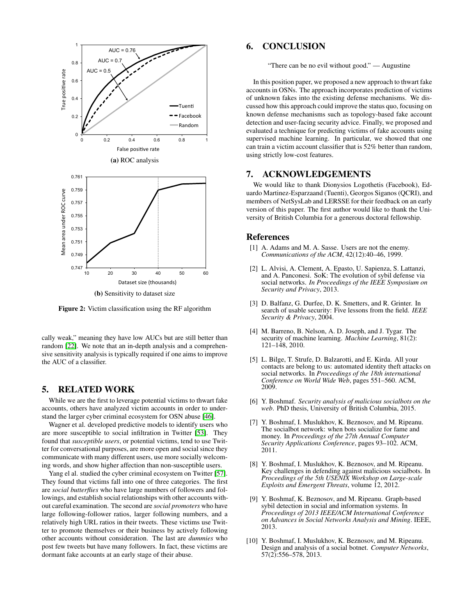<span id="page-6-10"></span>

Figure 2: Victim classification using the RF algorithm

cally weak," meaning they have low AUCs but are still better than random [\[22\]](#page-7-29). We note that an in-depth analysis and a comprehensive sensitivity analysis is typically required if one aims to improve the AUC of a classifier.

#### 5. RELATED WORK

While we are the first to leverage potential victims to thwart fake accounts, others have analyzed victim accounts in order to understand the larger cyber criminal ecosystem for OSN abuse [\[46\]](#page-8-17).

Wagner et al. developed predictive models to identify users who are more susceptible to social infiltration in Twitter [\[53\]](#page-8-14). They found that *susceptible users*, or potential victims, tend to use Twitter for conversational purposes, are more open and social since they communicate with many different users, use more socially welcoming words, and show higher affection than non-susceptible users.

Yang el al. studied the cyber criminal ecosystem on Twitter [\[57\]](#page-8-18). They found that victims fall into one of three categories. The first are *social butterflies* who have large numbers of followers and followings, and establish social relationships with other accounts without careful examination. The second are *social promoters* who have large following-follower ratios, larger following numbers, and a relatively high URL ratios in their tweets. These victims use Twitter to promote themselves or their business by actively following other accounts without consideration. The last are *dummies* who post few tweets but have many followers. In fact, these victims are dormant fake accounts at an early stage of their abuse.

# 6. CONCLUSION

"There can be no evil without good." — Augustine

In this position paper, we proposed a new approach to thwart fake accounts in OSNs. The approach incorporates prediction of victims of unknown fakes into the existing defense mechanisms. We discussed how this approach could improve the status quo, focusing on known defense mechanisms such as topology-based fake account detection and user-facing security advice. Finally, we proposed and evaluated a technique for predicting victims of fake accounts using supervised machine learning. In particular, we showed that one can train a victim account classifier that is 52% better than random, using strictly low-cost features.

#### 7. ACKNOWLEDGEMENTS

We would like to thank Dionysios Logothetis (Facebook), Eduardo Martinez-Esparzaand (Tuenti), Georgos Siganos (QCRI), and members of NetSysLab and LERSSE for their feedback on an early version of this paper. The first author would like to thank the University of British Columbia for a generous doctoral fellowship.

#### References

- <span id="page-6-8"></span>[1] A. Adams and M. A. Sasse. Users are not the enemy. *Communications of the ACM*, 42(12):40–46, 1999.
- <span id="page-6-4"></span>[2] L. Alvisi, A. Clement, A. Epasto, U. Sapienza, S. Lattanzi, and A. Panconesi. SoK: The evolution of sybil defense via social networks. *In Proceedings of the IEEE Symposium on Security and Privacy*, 2013.
- <span id="page-6-7"></span>[3] D. Balfanz, G. Durfee, D. K. Smetters, and R. Grinter. In search of usable security: Five lessons from the field. *IEEE Security & Privacy*, 2004.
- <span id="page-6-3"></span>[4] M. Barreno, B. Nelson, A. D. Joseph, and J. Tygar. The security of machine learning. *Machine Learning*, 81(2): 121–148, 2010.
- <span id="page-6-1"></span>[5] L. Bilge, T. Strufe, D. Balzarotti, and E. Kirda. All your contacts are belong to us: automated identity theft attacks on social networks. In *Proceedings of the 18th international Conference on World Wide Web*, pages 551–560. ACM, 2009.
- <span id="page-6-9"></span>[6] Y. Boshmaf. *Security analysis of malicious socialbots on the web*. PhD thesis, University of British Columbia, 2015.
- <span id="page-6-0"></span>[7] Y. Boshmaf, I. Muslukhov, K. Beznosov, and M. Ripeanu. The socialbot network: when bots socialize for fame and money. In *Proceedings of the 27th Annual Computer Security Applications Conference*, pages 93–102. ACM, 2011.
- <span id="page-6-2"></span>[8] Y. Boshmaf, I. Muslukhov, K. Beznosov, and M. Ripeanu. Key challenges in defending against malicious socialbots. In *Proceedings of the 5th USENIX Workshop on Large-scale Exploits and Emergent Threats*, volume 12, 2012.
- <span id="page-6-5"></span>[9] Y. Boshmaf, K. Beznosov, and M. Ripeanu. Graph-based sybil detection in social and information systems. In *Proceedings of 2013 IEEE/ACM International Conference on Advances in Social Networks Analysis and Mining*. IEEE, 2013.
- <span id="page-6-6"></span>[10] Y. Boshmaf, I. Muslukhov, K. Beznosov, and M. Ripeanu. Design and analysis of a social botnet. *Computer Networks*, 57(2):556–578, 2013.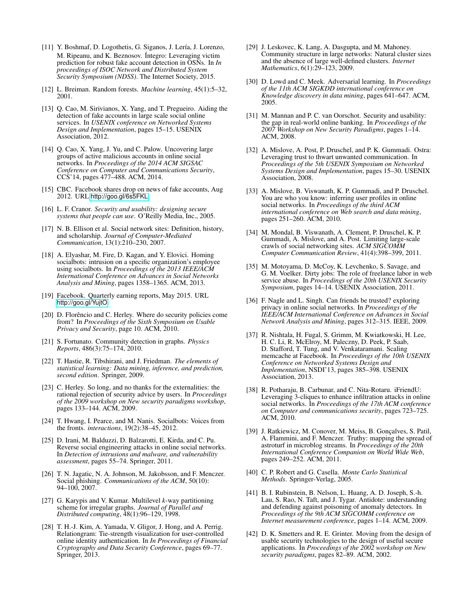- <span id="page-7-21"></span>[11] Y. Boshmaf, D. Logothetis, G. Siganos, J. Lería, J. Lorenzo, M. Ripeanu, and K. Beznosov. Íntegro: Leveraging victim prediction for robust fake account detection in OSNs. In *In proceedings of ISOC Network and Distributed System Security Symposium (NDSS)*. The Internet Society, 2015.
- <span id="page-7-31"></span>[12] L. Breiman. Random forests. *Machine learning*, 45(1):5–32, 2001.
- <span id="page-7-4"></span>[13] Q. Cao, M. Sirivianos, X. Yang, and T. Pregueiro. Aiding the detection of fake accounts in large scale social online services. In *USENIX conference on Networked Systems Design and Implementation*, pages 15–15. USENIX Association, 2012.
- <span id="page-7-13"></span>[14] Q. Cao, X. Yang, J. Yu, and C. Palow. Uncovering large groups of active malicious accounts in online social networks. In *Proceedings of the 2014 ACM SIGSAC Conference on Computer and Communications Security*, CCS'14, pages 477–488. ACM, 2014.
- <span id="page-7-1"></span>[15] CBC. Facebook shares drop on news of fake accounts, Aug 2012. URL <http://goo.gl/6s5FKL>.
- <span id="page-7-26"></span>[16] L. F. Cranor. *Security and usability: designing secure systems that people can use*. O'Reilly Media, Inc., 2005.
- <span id="page-7-11"></span>[17] N. B. Ellison et al. Social network sites: Definition, history, and scholarship. *Journal of Computer-Mediated Communication*, 13(1):210–230, 2007.
- <span id="page-7-17"></span>[18] A. Elyashar, M. Fire, D. Kagan, and Y. Elovici. Homing socialbots: intrusion on a specific organization's employee using socialbots. In *Proceedings of the 2013 IEEE/ACM International Conference on Advances in Social Networks Analysis and Mining*, pages 1358–1365. ACM, 2013.
- <span id="page-7-0"></span>[19] Facebook. Quarterly earning reports, May 2015. URL <http://goo.gl/YujtO>.
- <span id="page-7-24"></span>[20] D. Florêncio and C. Herley. Where do security policies come from? In *Proceedings of the Sixth Symposium on Usable Privacy and Security*, page 10. ACM, 2010.
- <span id="page-7-14"></span>[21] S. Fortunato. Community detection in graphs. *Physics Reports*, 486(3):75–174, 2010.
- <span id="page-7-29"></span>[22] T. Hastie, R. Tibshirani, and J. Friedman. *The elements of statistical learning: Data mining, inference, and prediction, second edition*. Springer, 2009.
- <span id="page-7-25"></span>[23] C. Herley. So long, and no thanks for the externalities: the rational rejection of security advice by users. In *Proceedings of the 2009 workshop on New security paradigms workshop*, pages 133–144. ACM, 2009.
- <span id="page-7-10"></span>[24] T. Hwang, I. Pearce, and M. Nanis. Socialbots: Voices from the fronts. *interactions*, 19(2):38–45, 2012.
- <span id="page-7-6"></span>[25] D. Irani, M. Balduzzi, D. Balzarotti, E. Kirda, and C. Pu. Reverse social engineering attacks in online social networks. In *Detection of intrusions and malware, and vulnerability assessment*, pages 55–74. Springer, 2011.
- <span id="page-7-22"></span>[26] T. N. Jagatic, N. A. Johnson, M. Jakobsson, and F. Menczer. Social phishing. *Communications of the ACM*, 50(10): 94–100, 2007.
- <span id="page-7-12"></span>[27] G. Karypis and V. Kumar. Multilevel *k*-way partitioning scheme for irregular graphs. *Journal of Parallel and Distributed computing*, 48(1):96–129, 1998.
- <span id="page-7-5"></span>[28] T. H.-J. Kim, A. Yamada, V. Gligor, J. Hong, and A. Perrig. Relationgram: Tie-strength visualization for user-controlled online identity authentication. In *In Proceedings of Financial Cryptography and Data Security Conference*, pages 69–77. Springer, 2013.
- <span id="page-7-15"></span>[29] J. Leskovec, K. Lang, A. Dasgupta, and M. Mahoney. Community structure in large networks: Natural cluster sizes and the absence of large well-defined clusters. *Internet Mathematics*, 6(1):29–123, 2009.
- <span id="page-7-9"></span>[30] D. Lowd and C. Meek. Adversarial learning. In *Proceedings of the 11th ACM SIGKDD international conference on Knowledge discovery in data mining*, pages 641–647. ACM, 2005.
- <span id="page-7-23"></span>[31] M. Mannan and P. C. van Oorschot. Security and usability: the gap in real-world online banking. In *Proceedings of the 2007 Workshop on New Security Paradigms*, pages 1–14. ACM, 2008.
- <span id="page-7-18"></span>[32] A. Mislove, A. Post, P. Druschel, and P. K. Gummadi. Ostra: Leveraging trust to thwart unwanted communication. In *Proceedings of the 5th USENIX Symposium on Networked Systems Design and Implementation*, pages 15–30. USENIX Association, 2008.
- <span id="page-7-16"></span>[33] A. Mislove, B. Viswanath, K. P. Gummadi, and P. Druschel. You are who you know: inferring user profiles in online social networks. In *Proceedings of the third ACM international conference on Web search and data mining*, pages 251–260. ACM, 2010.
- <span id="page-7-19"></span>[34] M. Mondal, B. Viswanath, A. Clement, P. Druschel, K. P. Gummadi, A. Mislove, and A. Post. Limiting large-scale crawls of social networking sites. *ACM SIGCOMM Computer Communication Review*, 41(4):398–399, 2011.
- <span id="page-7-3"></span>[35] M. Motoyama, D. McCoy, K. Levchenko, S. Savage, and G. M. Voelker. Dirty jobs: The role of freelance labor in web service abuse. In *Proceedings of the 20th USENIX Security Symposium*, pages 14–14. USENIX Association, 2011.
- <span id="page-7-7"></span>[36] F. Nagle and L. Singh. Can friends be trusted? exploring privacy in online social networks. In *Proceedings of the IEEE/ACM International Conference on Advances in Social Network Analysis and Mining*, pages 312–315. IEEE, 2009.
- <span id="page-7-27"></span>[37] R. Nishtala, H. Fugal, S. Grimm, M. Kwiatkowski, H. Lee, H. C. Li, R. McElroy, M. Paleczny, D. Peek, P. Saab, D. Stafford, T. Tung, and V. Venkataramani. Scaling memcache at Facebook. In *Proceedings of the 10th USENIX Conference on Networked Systems Design and Implementation*, NSDI'13, pages 385–398. USENIX Association, 2013.
- <span id="page-7-8"></span>[38] R. Potharaju, B. Carbunar, and C. Nita-Rotaru. iFriendU: Leveraging 3-cliques to enhance infiltration attacks in online social networks. In *Proceedings of the 17th ACM conference on Computer and communications security*, pages 723–725. ACM, 2010.
- <span id="page-7-2"></span>[39] J. Ratkiewicz, M. Conover, M. Meiss, B. Gonçalves, S. Patil, A. Flammini, and F. Menczer. Truthy: mapping the spread of astroturf in microblog streams. In *Proceedings of the 20th International Conference Companion on World Wide Web*, pages 249–252. ACM, 2011.
- <span id="page-7-28"></span>[40] C. P. Robert and G. Casella. *Monte Carlo Statistical Methods*. Springer-Verlag, 2005.
- <span id="page-7-30"></span>[41] B. I. Rubinstein, B. Nelson, L. Huang, A. D. Joseph, S.-h. Lau, S. Rao, N. Taft, and J. Tygar. Antidote: understanding and defending against poisoning of anomaly detectors. In *Proceedings of the 9th ACM SIGCOMM conference on Internet measurement conference*, pages 1–14. ACM, 2009.
- <span id="page-7-20"></span>[42] D. K. Smetters and R. E. Grinter. Moving from the design of usable security technologies to the design of useful secure applications. In *Proceedings of the 2002 workshop on New security paradigms*, pages 82–89. ACM, 2002.